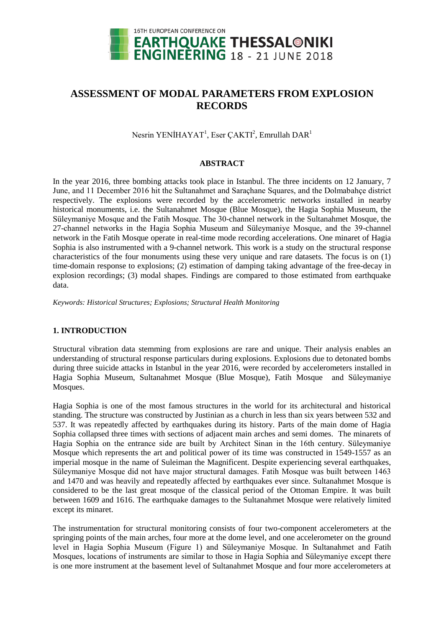

# **ASSESSMENT OF MODAL PARAMETERS FROM EXPLOSION RECORDS**

Nesrin YENİHAYAT<sup>1</sup>, Eser ÇAKTI<sup>2</sup>, Emrullah DAR<sup>1</sup>

## **ABSTRACT**

In the year 2016, three bombing attacks took place in Istanbul. The three incidents on 12 January, 7 June, and 11 December 2016 hit the Sultanahmet and Saraçhane Squares, and the Dolmabahçe district respectively. The explosions were recorded by the accelerometric networks installed in nearby historical monuments, i.e. the Sultanahmet Mosque (Blue Mosque), the Hagia Sophia Museum, the Süleymaniye Mosque and the Fatih Mosque. The 30-channel network in the Sultanahmet Mosque, the 27-channel networks in the Hagia Sophia Museum and Süleymaniye Mosque, and the 39-channel network in the Fatih Mosque operate in real-time mode recording accelerations. One minaret of Hagia Sophia is also instrumented with a 9-channel network. This work is a study on the structural response characteristics of the four monuments using these very unique and rare datasets. The focus is on (1) time-domain response to explosions; (2) estimation of damping taking advantage of the free-decay in explosion recordings; (3) modal shapes. Findings are compared to those estimated from earthquake data.

*Keywords: Historical Structures; Explosions; Structural Health Monitoring*

# **1. INTRODUCTION**

Structural vibration data stemming from explosions are rare and unique. Their analysis enables an understanding of structural response particulars during explosions. Explosions due to detonated bombs during three suicide attacks in Istanbul in the year 2016, were recorded by accelerometers installed in Hagia Sophia Museum, Sultanahmet Mosque (Blue Mosque), Fatih Mosque and Süleymaniye Mosques.

Hagia Sophia is one of the most famous structures in the world for its architectural and historical standing. The structure was constructed by Justinian as a church in less than six years between 532 and 537. It was repeatedly affected by earthquakes during its history. Parts of the main dome of Hagia Sophia collapsed three times with sections of adjacent main arches and semi domes. The minarets of Hagia Sophia on the entrance side are built by Architect Sinan in the 16th century. Süleymaniye Mosque which represents the art and political power of its time was constructed in 1549-1557 as an imperial mosque in the name of Suleiman the Magnificent. Despite experiencing several earthquakes, Süleymaniye Mosque did not have major structural damages. Fatih Mosque was built between 1463 and 1470 and was heavily and repeatedly affected by earthquakes ever since. Sultanahmet Mosque is considered to be the last great mosque of the classical period of the Ottoman Empire. It was built between 1609 and 1616. The earthquake damages to the Sultanahmet Mosque were relatively limited except its minaret.

The instrumentation for structural monitoring consists of four two-component accelerometers at the springing points of the main arches, four more at the dome level, and one accelerometer on the ground level in Hagia Sophia Museum (Figure 1) and Süleymaniye Mosque. In Sultanahmet and Fatih Mosques, locations of instruments are similar to those in Hagia Sophia and Süleymaniye except there is one more instrument at the basement level of Sultanahmet Mosque and four more accelerometers at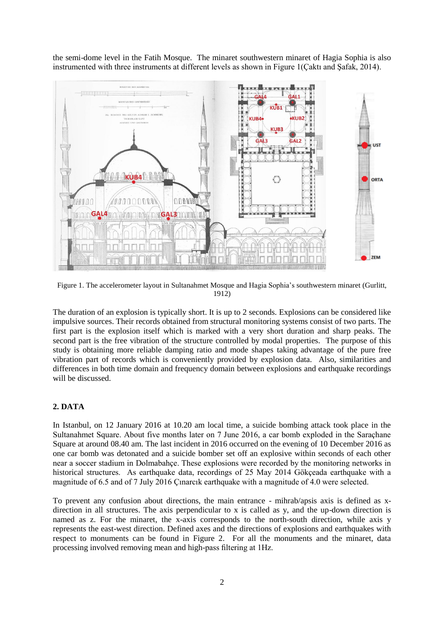the semi-dome level in the Fatih Mosque. The minaret southwestern minaret of Hagia Sophia is also instrumented with three instruments at different levels as shown in Figure 1(Çaktı and Şafak, 2014).



Figure 1. The accelerometer layout in Sultanahmet Mosque and Hagia Sophia's southwestern minaret (Gurlitt, 1912)

The duration of an explosion is typically short. It is up to 2 seconds. Explosions can be considered like impulsive sources. Their records obtained from structural monitoring systems consist of two parts. The first part is the explosion itself which is marked with a very short duration and sharp peaks. The second part is the free vibration of the structure controlled by modal properties. The purpose of this study is obtaining more reliable damping ratio and mode shapes taking advantage of the pure free vibration part of records which is conveniently provided by explosion data. Also, similarities and differences in both time domain and frequency domain between explosions and earthquake recordings will be discussed.

# **2. DATA**

In Istanbul, on 12 January 2016 at 10.20 am local time, a suicide bombing attack took place in the Sultanahmet Square. About five months later on 7 June 2016, a car bomb exploded in the Saraçhane Square at around 08.40 am. The last incident in 2016 occurred on the evening of 10 December 2016 as one car bomb was detonated and a suicide bomber set off an explosive within seconds of each other near a soccer stadium in Dolmabahçe. These explosions were recorded by the monitoring networks in historical structures. As earthquake data, recordings of 25 May 2014 Gökceada earthquake with a magnitude of 6.5 and of 7 July 2016 Çınarcık earthquake with a magnitude of 4.0 were selected.

To prevent any confusion about directions, the main entrance - mihrab/apsis axis is defined as xdirection in all structures. The axis perpendicular to x is called as y, and the up-down direction is named as z. For the minaret, the x-axis corresponds to the north-south direction, while axis y represents the east-west direction. Defined axes and the directions of explosions and earthquakes with respect to monuments can be found in Figure 2. For all the monuments and the minaret, data processing involved removing mean and high-pass filtering at 1Hz.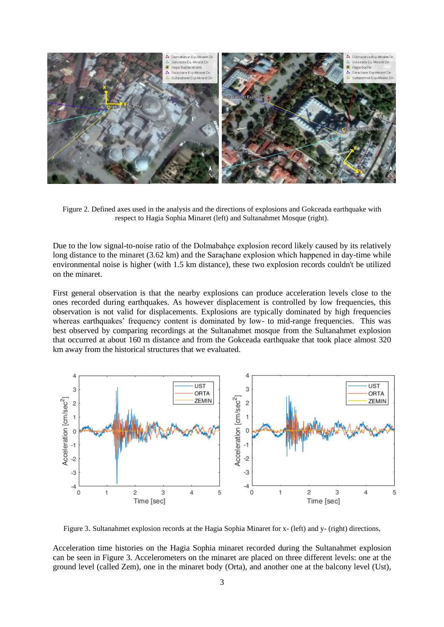

Figure 2. Defined axes used in the analysis and the directions of explosions and Gokceada earthquake with respect to Hagia Sophia Minaret (left) and Sultanahmet Mosque (right).

Due to the low signal-to-noise ratio of the Dolmabahçe explosion record likely caused by its relatively long distance to the minaret (3.62 km) and the Saraçhane explosion which happened in day-time while environmental noise is higher (with 1.5 km distance), these two explosion records couldn't be utilized on the minaret.

First general observation is that the nearby explosions can produce acceleration levels close to the ones recorded during earthquakes. As however displacement is controlled by low frequencies, this observation is not valid for displacements. Explosions are typically dominated by high frequencies whereas earthquakes' frequency content is dominated by low- to mid-range frequencies. This was best observed by comparing recordings at the Sultanahmet mosque from the Sultanahmet explosion that occurred at about 160 m distance and from the Gokceada earthquake that took place almost 320 km away from the historical structures that we evaluated.



Figure 3. Sultanahmet explosion records at the Hagia Sophia Minaret for x- (left) and y- (right) directions,

Acceleration time histories on the Hagia Sophia minaret recorded during the Sultanahmet explosion can be seen in Figure 3. Accelerometers on the minaret are placed on three different levels: one at the ground level (called Zem), one in the minaret body (Orta), and another one at the balcony level (Ust),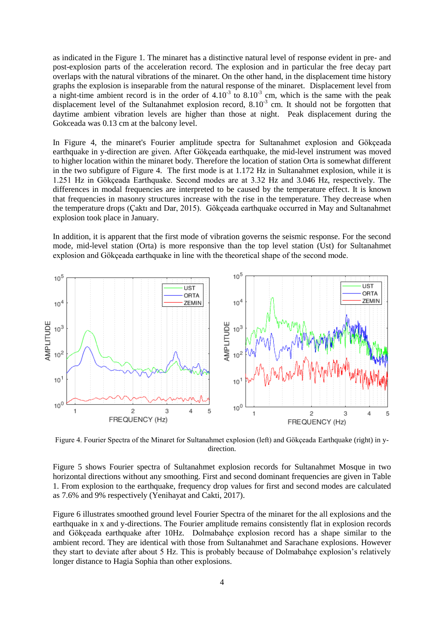as indicated in the Figure 1. The minaret has a distinctive natural level of response evident in pre- and post-explosion parts of the acceleration record. The explosion and in particular the free decay part overlaps with the natural vibrations of the minaret. On the other hand, in the displacement time history graphs the explosion is inseparable from the natural response of the minaret. Displacement level from a night-time ambient record is in the order of  $4.10<sup>3</sup>$  to  $8.10<sup>3</sup>$  cm, which is the same with the peak displacement level of the Sultanahmet explosion record,  $8.10^{-3}$  cm. It should not be forgotten that daytime ambient vibration levels are higher than those at night. Peak displacement during the Gokceada was 0.13 cm at the balcony level.

In Figure 4, the minaret's Fourier amplitude spectra for Sultanahmet explosion and Gökçeada earthquake in y-direction are given. After Gökçeada earthquake, the mid-level instrument was moved to higher location within the minaret body. Therefore the location of station Orta is somewhat different in the two subfigure of Figure 4. The first mode is at 1.172 Hz in Sultanahmet explosion, while it is 1.251 Hz in Gökçeada Earthquake. Second modes are at 3.32 Hz and 3.046 Hz, respectively. The differences in modal frequencies are interpreted to be caused by the temperature effect. It is known that frequencies in masonry structures increase with the rise in the temperature. They decrease when the temperature drops (Çaktı and Dar, 2015). Gökçeada earthquake occurred in May and Sultanahmet explosion took place in January.

In addition, it is apparent that the first mode of vibration governs the seismic response. For the second mode, mid-level station (Orta) is more responsive than the top level station (Ust) for Sultanahmet explosion and Gökçeada earthquake in line with the theoretical shape of the second mode.



Figure 4. Fourier Spectra of the Minaret for Sultanahmet explosion (left) and Gökçeada Earthquake (right) in ydirection.

Figure 5 shows Fourier spectra of Sultanahmet explosion records for Sultanahmet Mosque in two horizontal directions without any smoothing. First and second dominant frequencies are given in Table 1. From explosion to the earthquake, frequency drop values for first and second modes are calculated as 7.6% and 9% respectively (Yenihayat and Cakti, 2017).

Figure 6 illustrates smoothed ground level Fourier Spectra of the minaret for the all explosions and the earthquake in x and y-directions. The Fourier amplitude remains consistently flat in explosion records and Gökçeada earthquake after 10Hz. Dolmabahçe explosion record has a shape similar to the ambient record. They are identical with those from Sultanahmet and Sarachane explosions. However they start to deviate after about 5 Hz. This is probably because of Dolmabahçe explosion's relatively longer distance to Hagia Sophia than other explosions.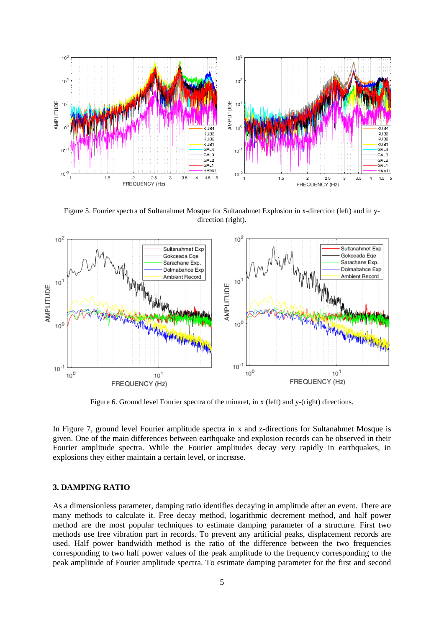

Figure 5. Fourier spectra of Sultanahmet Mosque for Sultanahmet Explosion in x-direction (left) and in ydirection (right).



Figure 6. Ground level Fourier spectra of the minaret, in x (left) and y-(right) directions.

In Figure 7, ground level Fourier amplitude spectra in x and z-directions for Sultanahmet Mosque is given. One of the main differences between earthquake and explosion records can be observed in their Fourier amplitude spectra. While the Fourier amplitudes decay very rapidly in earthquakes, in explosions they either maintain a certain level, or increase.

#### **3. DAMPING RATIO**

As a dimensionless parameter, damping ratio identifies decaying in amplitude after an event. There are many methods to calculate it. Free decay method, logarithmic decrement method, and half power method are the most popular techniques to estimate damping parameter of a structure. First two methods use free vibration part in records. To prevent any artificial peaks, displacement records are used. Half power bandwidth method is the ratio of the difference between the two frequencies corresponding to two half power values of the peak amplitude to the frequency corresponding to the peak amplitude of Fourier amplitude spectra. To estimate damping parameter for the first and second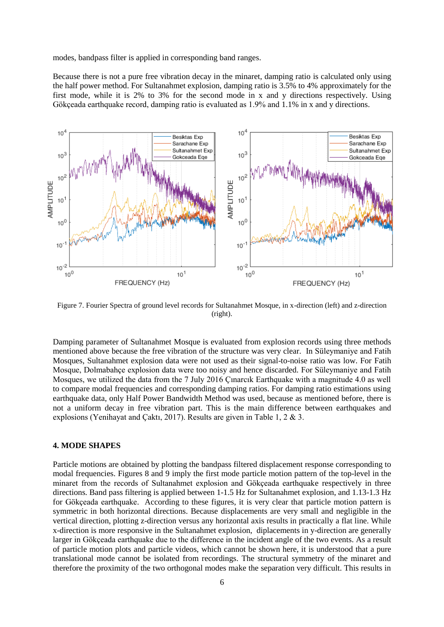modes, bandpass filter is applied in corresponding band ranges.

Because there is not a pure free vibration decay in the minaret, damping ratio is calculated only using the half power method. For Sultanahmet explosion, damping ratio is 3.5% to 4% approximately for the first mode, while it is 2% to 3% for the second mode in x and y directions respectively. Using Gökçeada earthquake record, damping ratio is evaluated as 1.9% and 1.1% in x and y directions.



Figure 7. Fourier Spectra of ground level records for Sultanahmet Mosque, in x-direction (left) and z-direction (right).

Damping parameter of Sultanahmet Mosque is evaluated from explosion records using three methods mentioned above because the free vibration of the structure was very clear. In Süleymaniye and Fatih Mosques, Sultanahmet explosion data were not used as their signal-to-noise ratio was low. For Fatih Mosque, Dolmabahçe explosion data were too noisy and hence discarded. For Süleymaniye and Fatih Mosques, we utilized the data from the 7 July 2016 Çınarcık Earthquake with a magnitude 4.0 as well to compare modal frequencies and corresponding damping ratios. For damping ratio estimations using earthquake data, only Half Power Bandwidth Method was used, because as mentioned before, there is not a uniform decay in free vibration part. This is the main difference between earthquakes and explosions (Yenihayat and Çaktı, 2017). Results are given in Table 1, 2 & 3.

#### **4. MODE SHAPES**

Particle motions are obtained by plotting the bandpass filtered displacement response corresponding to modal frequencies. Figures 8 and 9 imply the first mode particle motion pattern of the top-level in the minaret from the records of Sultanahmet explosion and Gökçeada earthquake respectively in three directions. Band pass filtering is applied between 1-1.5 Hz for Sultanahmet explosion, and 1.13-1.3 Hz for Gökçeada earthquake. According to these figures, it is very clear that particle motion pattern is symmetric in both horizontal directions. Because displacements are very small and negligible in the vertical direction, plotting z-direction versus any horizontal axis results in practically a flat line. While x-direction is more responsive in the Sultanahmet explosion, diplacements in y-direction are generally larger in Gökçeada earthquake due to the difference in the incident angle of the two events. As a result of particle motion plots and particle videos, which cannot be shown here, it is understood that a pure translational mode cannot be isolated from recordings. The structural symmetry of the minaret and therefore the proximity of the two orthogonal modes make the separation very difficult. This results in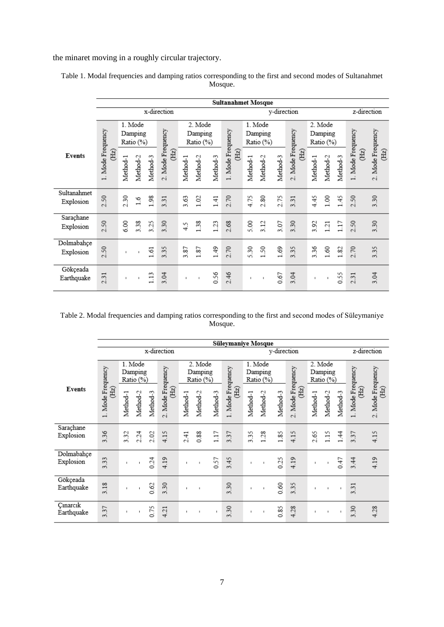the minaret moving in a roughly circular trajectory.

|                          | <b>Sultanahmet Mosque</b><br>y-direction     |                                 |              |          |                                        |                                 |          |          |                                 |          |             |                                 |                                                    |          |                |          |                          |                           |
|--------------------------|----------------------------------------------|---------------------------------|--------------|----------|----------------------------------------|---------------------------------|----------|----------|---------------------------------|----------|-------------|---------------------------------|----------------------------------------------------|----------|----------------|----------|--------------------------|---------------------------|
|                          |                                              |                                 |              |          | x-direction                            |                                 |          |          |                                 |          | z-direction |                                 |                                                    |          |                |          |                          |                           |
| <b>Events</b>            | Mode Frequency<br>(Hz)<br>-                  | 1. Mode<br>Damping<br>Ratio (%) |              |          |                                        | 2. Mode<br>Damping<br>Ratio (%) |          |          | 1. Mode<br>Damping<br>Ratio (%) |          |             | 2. Mode<br>Damping<br>Ratio (%) |                                                    |          |                |          |                          |                           |
|                          |                                              | Method-1                        | Method-2     | Method-3 | 2. Mode Frequency<br>(E <sub>z</sub> ) | Method-1                        | Method-2 | Method-3 | Mode Frequency<br>(Hz)          | Method-1 | Method-2    | Method-3                        | Mode Frequency<br>(Hz)<br>$\overline{\mathcal{C}}$ | Method-1 | Method-2       | Method-3 | 1. Mode Frequency<br>(E) | 2. Mode Frequency<br>(Hz) |
| Sultanahmet<br>Explosion | 50<br>$\overline{\mathcal{N}}$               | 2.30                            | 1.6          | 1.98     | 3.31                                   | 3.63                            | 1.02     | 1.41     | 2.70                            | 4.75     | 2.80        | 2.75                            | 3.31                                               | 4.45     | 1.00           | 1.45     | 2.50                     | 3.30                      |
| Saraçhane<br>Explosion   | 50<br>ςi                                     | 6.00                            | 38<br>ണ്     | 3.25     | 3.30                                   | 4.5                             | 1.38     | 1.23     | 2.68                            | 5.00     | 3.12        | 3.07                            | 50<br>$\sim$                                       | 3.92     | 121            | 1.17     | 50<br>N                  | 3.30                      |
| Dolmabahçe<br>Explosion  | 50<br>$\sim$                                 | $\blacksquare$                  | $\mathbf{I}$ | 1.61     | 35<br>$\sim$                           | 3.87                            | 1.87     | 1.49     | 2.70                            | 5.30     | 1.50        | 1.69                            | 35<br>$\sim$                                       | 3.36     | 1.60           | 1.82     | 2.70                     | 3.35                      |
| Gökçeada<br>Earthquake   | $\overline{\phantom{a}}$<br>$\sim$<br>$\sim$ | $\blacksquare$                  | $\mathbf{I}$ | 1.13     | 3.04                                   | $\blacksquare$                  | ×        | 0.56     | 46<br>$\sim$                    | I.       | ×           | 0.67                            | 3.04                                               | ×        | $\blacksquare$ | 0.55     | ī<br>$\sim$<br>$\sim$    | 3.04                      |

Table 1. Modal frequencies and damping ratios corresponding to the first and second modes of Sultanahmet Mosque.

### Table 2. Modal frequencies and damping ratios corresponding to the first and second modes of Süleymaniye Mosque.

|                         | Süleymaniye Mosque<br>y-direction |                                 |          |          |                                                |              |                                 |              |                           |                                 |          |             |                           |                                 |                |              |                                                |                           |
|-------------------------|-----------------------------------|---------------------------------|----------|----------|------------------------------------------------|--------------|---------------------------------|--------------|---------------------------|---------------------------------|----------|-------------|---------------------------|---------------------------------|----------------|--------------|------------------------------------------------|---------------------------|
|                         |                                   |                                 |          |          | x-direction                                    |              |                                 |              |                           |                                 |          | z-direction |                           |                                 |                |              |                                                |                           |
| Events                  |                                   | 1. Mode<br>Damping<br>Ratio (%) |          |          |                                                |              | 2. Mode<br>Damping<br>Ratio (%) |              |                           | 1. Mode<br>Damping<br>Ratio (%) |          |             |                           | 2. Mode<br>Damping<br>Ratio (%) |                |              |                                                |                           |
|                         | 1. Mode Frequency<br>(Hz)         | Method-1                        | Method-2 | Method-3 | Mode Frequency<br>$\widetilde{\text{H2}}$<br>N | Method-1     | Method-2                        | Method-3     | 1. Mode Frequency<br>(Hz) | Method-1                        | Method-2 | Method-3    | 2. Mode Frequency<br>(Hz) | Method-1                        | Method-2       | Method-3     | 1. Mode Frequency<br>$\widetilde{\mathrm{H2}}$ | 2. Mode Frequency<br>(Hz) |
| Saraçhane<br>Explosion  | 3.36                              | 3.32                            | 2.24     | 2.02     | 4.15                                           | 2.41         | 0.88                            | 1.17         | 3.37                      | 3.35                            | 1.28     | 1.85        | 4.15                      | 2.65                            | $\frac{15}{2}$ | 1.44         | 37<br>$\sim$                                   | 4.15                      |
| Dolmabahçe<br>Explosion | 33<br>$\sim$                      | J.                              |          | 0.24     | 4.19                                           |              | J.                              | 0.57         | $\ddot{ }$<br>$\sim$      | ٠                               | ٠        | 0.25        | 4.19                      | ٠                               |                | 0.47         | 4<br>$\sim$                                    | 4.19                      |
| Gökçeada<br>Earthquake  | 3.18                              | $\mathbb I$                     |          | 0.62     | 3.30                                           | $\mathbf{I}$ | J.                              |              | 3.30                      | ×,                              | ×,       | 0.60        | 3.35                      | $\mathbf{I}$                    | $\mathbf{I}$   | $\mathbf{I}$ | 3.31                                           |                           |
| Cinarcik<br>Earthquake  | 3.37                              | ×,                              |          | 0.75     | 4.21                                           | $\mathbf{I}$ | ×                               | $\mathbf{I}$ | $\overline{30}$<br>$\sim$ | ٠                               | t.       | 0.85        | 4.28                      | ×.                              | $\mathbf{I}$   | $\mathbf{I}$ | $\overline{30}$<br>$\sim$                      | 4.28                      |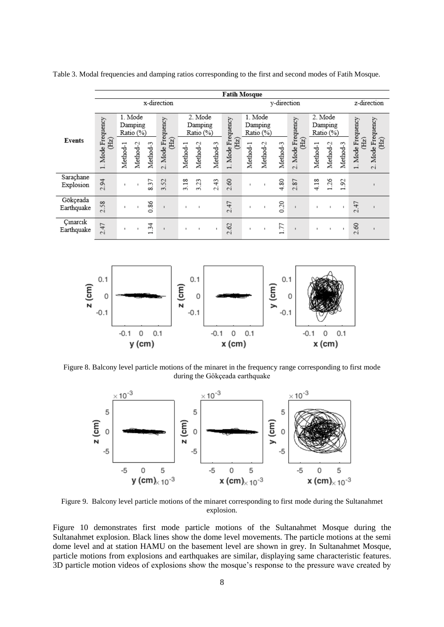|                        |                           | <b>Fatih Mosque</b><br>y-direction |                |                                |                                        |                                 |              |              |                         |                                 |              |          |                               |                                 |          |                               |                        |                                    |  |
|------------------------|---------------------------|------------------------------------|----------------|--------------------------------|----------------------------------------|---------------------------------|--------------|--------------|-------------------------|---------------------------------|--------------|----------|-------------------------------|---------------------------------|----------|-------------------------------|------------------------|------------------------------------|--|
|                        |                           |                                    |                |                                | x-direction                            |                                 |              |              |                         | z-direction                     |              |          |                               |                                 |          |                               |                        |                                    |  |
| Events                 | 1. Mode Frequency<br>(Hz) | 1. Mode<br>Damping<br>Ratio (%)    |                |                                |                                        | 2. Mode<br>Damping<br>Ratio (%) |              |              |                         | 1. Mode<br>Damping<br>Ratio (%) |              |          |                               | 2. Mode<br>Damping<br>Ratio (%) |          |                               |                        |                                    |  |
|                        |                           | Method-1                           | Method-2       | Method-3                       | 2. Mode Frequency<br>(E <sub>z</sub> ) | Method-1                        | Method-2     | Method-3     | Mode Frequency<br>(Hz)  | Method-1                        | Method-2     | Method-3 | Mode Frequency<br>(Hz)<br>io. | Method-1                        | Method-2 | Method-3                      | Mode Frequency<br>(Hz) | . Mode Frequency<br>(Hz)<br>$\sim$ |  |
| Saraçhane<br>Explosion | 2.94                      |                                    |                | 57<br>∞                        | 52<br>$\sim$                           | 3.18                            | 3.23         | 2.43         | 2.60                    | ×                               |              | 4.80     | 2.87                          | 4.18                            | 1.26     | S<br>$\overline{\phantom{0}}$ |                        |                                    |  |
| Gökçeada<br>Earthquake | 58<br>$\sim$              |                                    |                | 0.86                           |                                        | ×                               |              |              | 2.47                    | ×                               |              | 0.20     |                               | $\blacksquare$                  |          | $\mathbf{I}$                  | 47<br>$\sim$           |                                    |  |
| Cinarcik<br>Earthquake | 2.47                      |                                    | $\mathbb{R}^2$ | 34<br>$\overline{\phantom{0}}$ | $\blacksquare$                         | $\mathbb{I}$                    | $\mathbf{I}$ | $\mathbf{I}$ | $\mathcal{O}$<br>$\sim$ | ×.                              | $\mathbf{I}$ | 1.77     | $\mathbf{I}$                  | $\blacksquare$                  | ×.       | $\mathbf{I}$                  | 8<br>$\sim$            |                                    |  |

Table 3. Modal frequencies and damping ratios corresponding to the first and second modes of Fatih Mosque.



Figure 8. Balcony level particle motions of the minaret in the frequency range corresponding to first mode during the Gökçeada earthquake



Figure 9. Balcony level particle motions of the minaret corresponding to first mode during the Sultanahmet explosion.

Figure 10 demonstrates first mode particle motions of the Sultanahmet Mosque during the Sultanahmet explosion. Black lines show the dome level movements. The particle motions at the semi dome level and at station HAMU on the basement level are shown in grey. In Sultanahmet Mosque, particle motions from explosions and earthquakes are similar, displaying same characteristic features. 3D particle motion videos of explosions show the mosque's response to the pressure wave created by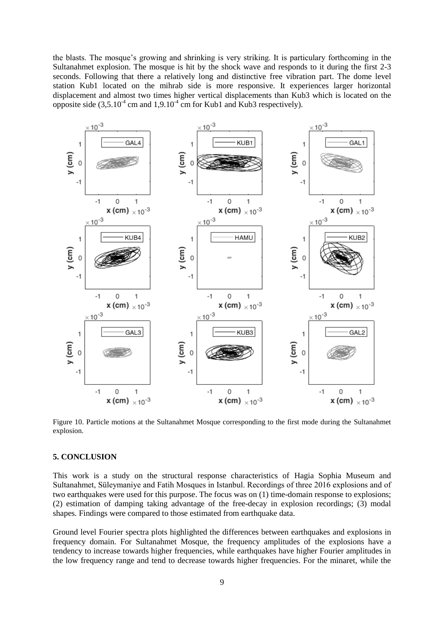the blasts. The mosque's growing and shrinking is very striking. It is particulary forthcoming in the Sultanahmet explosion. The mosque is hit by the shock wave and responds to it during the first 2-3 seconds. Following that there a relatively long and distinctive free vibration part. The dome level station Kub1 located on the mihrab side is more responsive. It experiences larger horizontal displacement and almost two times higher vertical displacements than Kub3 which is located on the opposite side  $(3,5.10^4 \text{ cm and } 1,9.10^4 \text{ cm for Kub1 and Kub3 respectively}).$ 



Figure 10. Particle motions at the Sultanahmet Mosque corresponding to the first mode during the Sultanahmet explosion.

## **5. CONCLUSION**

This work is a study on the structural response characteristics of Hagia Sophia Museum and Sultanahmet, Süleymaniye and Fatih Mosques in Istanbul. Recordings of three 2016 explosions and of two earthquakes were used for this purpose. The focus was on (1) time-domain response to explosions; (2) estimation of damping taking advantage of the free-decay in explosion recordings; (3) modal shapes. Findings were compared to those estimated from earthquake data.

Ground level Fourier spectra plots highlighted the differences between earthquakes and explosions in frequency domain. For Sultanahmet Mosque, the frequency amplitudes of the explosions have a tendency to increase towards higher frequencies, while earthquakes have higher Fourier amplitudes in the low frequency range and tend to decrease towards higher frequencies. For the minaret, while the